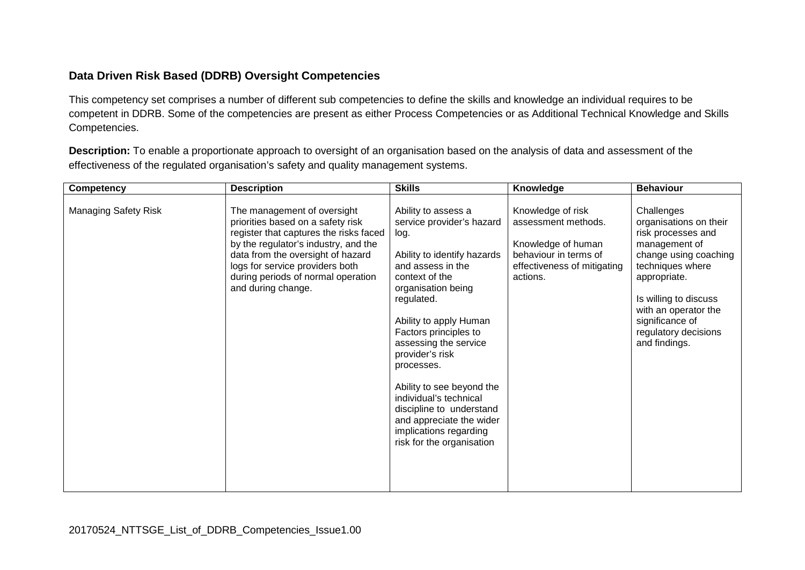## **Data Driven Risk Based (DDRB) Oversight Competencies**

This competency set comprises a number of different sub competencies to define the skills and knowledge an individual requires to be competent in DDRB. Some of the competencies are present as either Process Competencies or as Additional Technical Knowledge and Skills Competencies.

**Description:** To enable a proportionate approach to oversight of an organisation based on the analysis of data and assessment of the effectiveness of the regulated organisation's safety and quality management systems.

| Competency                  | <b>Description</b>                                                                                                                                                                                                                                                                     | <b>Skills</b>                                                                                                                                                                                                                                                                                                                                                                                                                                         | Knowledge                                                                                                                          | <b>Behaviour</b>                                                                                                                                                                                                                                      |
|-----------------------------|----------------------------------------------------------------------------------------------------------------------------------------------------------------------------------------------------------------------------------------------------------------------------------------|-------------------------------------------------------------------------------------------------------------------------------------------------------------------------------------------------------------------------------------------------------------------------------------------------------------------------------------------------------------------------------------------------------------------------------------------------------|------------------------------------------------------------------------------------------------------------------------------------|-------------------------------------------------------------------------------------------------------------------------------------------------------------------------------------------------------------------------------------------------------|
| <b>Managing Safety Risk</b> | The management of oversight<br>priorities based on a safety risk<br>register that captures the risks faced<br>by the regulator's industry, and the<br>data from the oversight of hazard<br>logs for service providers both<br>during periods of normal operation<br>and during change. | Ability to assess a<br>service provider's hazard<br>log.<br>Ability to identify hazards<br>and assess in the<br>context of the<br>organisation being<br>regulated.<br>Ability to apply Human<br>Factors principles to<br>assessing the service<br>provider's risk<br>processes.<br>Ability to see beyond the<br>individual's technical<br>discipline to understand<br>and appreciate the wider<br>implications regarding<br>risk for the organisation | Knowledge of risk<br>assessment methods.<br>Knowledge of human<br>behaviour in terms of<br>effectiveness of mitigating<br>actions. | Challenges<br>organisations on their<br>risk processes and<br>management of<br>change using coaching<br>techniques where<br>appropriate.<br>Is willing to discuss<br>with an operator the<br>significance of<br>regulatory decisions<br>and findings. |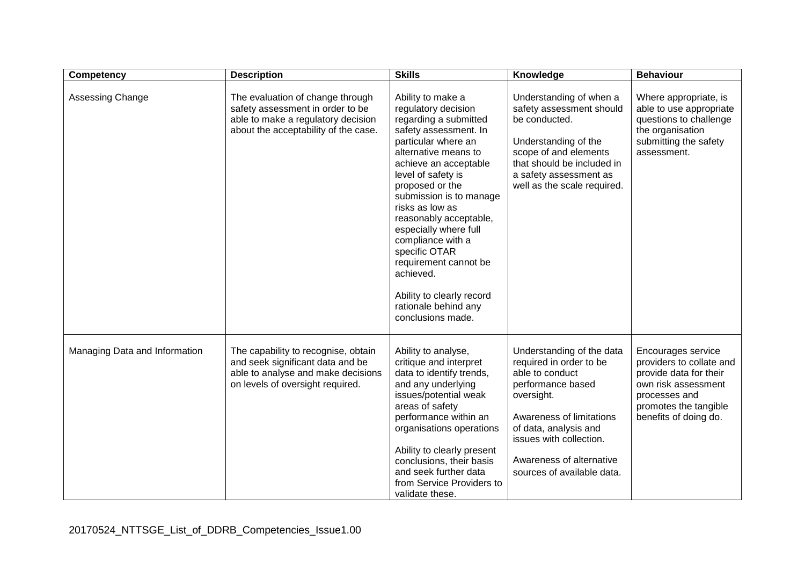| <b>Competency</b>             | <b>Description</b>                                                                                                                                 | <b>Skills</b>                                                                                                                                                                                                                                                                                                                                                                                                                                                      | Knowledge                                                                                                                                                                                                                                            | <b>Behaviour</b>                                                                                                                                                   |
|-------------------------------|----------------------------------------------------------------------------------------------------------------------------------------------------|--------------------------------------------------------------------------------------------------------------------------------------------------------------------------------------------------------------------------------------------------------------------------------------------------------------------------------------------------------------------------------------------------------------------------------------------------------------------|------------------------------------------------------------------------------------------------------------------------------------------------------------------------------------------------------------------------------------------------------|--------------------------------------------------------------------------------------------------------------------------------------------------------------------|
| Assessing Change              | The evaluation of change through<br>safety assessment in order to be<br>able to make a regulatory decision<br>about the acceptability of the case. | Ability to make a<br>regulatory decision<br>regarding a submitted<br>safety assessment. In<br>particular where an<br>alternative means to<br>achieve an acceptable<br>level of safety is<br>proposed or the<br>submission is to manage<br>risks as low as<br>reasonably acceptable,<br>especially where full<br>compliance with a<br>specific OTAR<br>requirement cannot be<br>achieved.<br>Ability to clearly record<br>rationale behind any<br>conclusions made. | Understanding of when a<br>safety assessment should<br>be conducted.<br>Understanding of the<br>scope of and elements<br>that should be included in<br>a safety assessment as<br>well as the scale required.                                         | Where appropriate, is<br>able to use appropriate<br>questions to challenge<br>the organisation<br>submitting the safety<br>assessment.                             |
| Managing Data and Information | The capability to recognise, obtain<br>and seek significant data and be<br>able to analyse and make decisions<br>on levels of oversight required.  | Ability to analyse,<br>critique and interpret<br>data to identify trends,<br>and any underlying<br>issues/potential weak<br>areas of safety<br>performance within an<br>organisations operations<br>Ability to clearly present<br>conclusions, their basis<br>and seek further data<br>from Service Providers to<br>validate these.                                                                                                                                | Understanding of the data<br>required in order to be<br>able to conduct<br>performance based<br>oversight.<br>Awareness of limitations<br>of data, analysis and<br>issues with collection.<br>Awareness of alternative<br>sources of available data. | Encourages service<br>providers to collate and<br>provide data for their<br>own risk assessment<br>processes and<br>promotes the tangible<br>benefits of doing do. |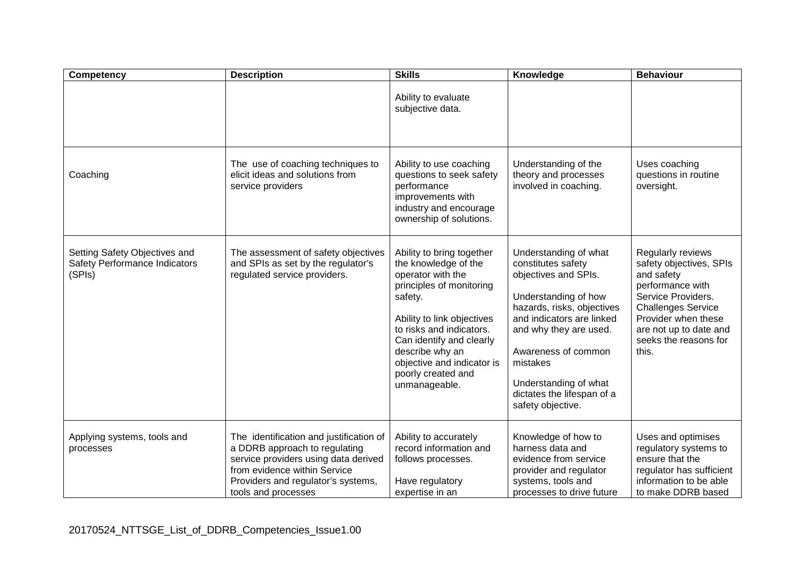| Competency                                                               | <b>Description</b>                                                                                                                                                                                            | <b>Skills</b>                                                                                                                                                                                                                                                                               | Knowledge                                                                                                                                                                                                                                                                                       | <b>Behaviour</b>                                                                                                                                                                                                     |
|--------------------------------------------------------------------------|---------------------------------------------------------------------------------------------------------------------------------------------------------------------------------------------------------------|---------------------------------------------------------------------------------------------------------------------------------------------------------------------------------------------------------------------------------------------------------------------------------------------|-------------------------------------------------------------------------------------------------------------------------------------------------------------------------------------------------------------------------------------------------------------------------------------------------|----------------------------------------------------------------------------------------------------------------------------------------------------------------------------------------------------------------------|
|                                                                          |                                                                                                                                                                                                               | Ability to evaluate<br>subjective data.                                                                                                                                                                                                                                                     |                                                                                                                                                                                                                                                                                                 |                                                                                                                                                                                                                      |
| Coaching                                                                 | The use of coaching techniques to<br>elicit ideas and solutions from<br>service providers                                                                                                                     | Ability to use coaching<br>questions to seek safety<br>performance<br>improvements with<br>industry and encourage<br>ownership of solutions.                                                                                                                                                | Understanding of the<br>theory and processes<br>involved in coaching.                                                                                                                                                                                                                           | Uses coaching<br>questions in routine<br>oversight.                                                                                                                                                                  |
| Setting Safety Objectives and<br>Safety Performance Indicators<br>(SPIs) | The assessment of safety objectives<br>and SPIs as set by the regulator's<br>regulated service providers.                                                                                                     | Ability to bring together<br>the knowledge of the<br>operator with the<br>principles of monitoring<br>safety.<br>Ability to link objectives<br>to risks and indicators.<br>Can identify and clearly<br>describe why an<br>objective and indicator is<br>poorly created and<br>unmanageable. | Understanding of what<br>constitutes safety<br>objectives and SPIs.<br>Understanding of how<br>hazards, risks, objectives<br>and indicators are linked<br>and why they are used.<br>Awareness of common<br>mistakes<br>Understanding of what<br>dictates the lifespan of a<br>safety objective. | Regularly reviews<br>safety objectives, SPIs<br>and safety<br>performance with<br>Service Providers.<br><b>Challenges Service</b><br>Provider when these<br>are not up to date and<br>seeks the reasons for<br>this. |
| Applying systems, tools and<br>processes                                 | The identification and justification of<br>a DDRB approach to regulating<br>service providers using data derived<br>from evidence within Service<br>Providers and regulator's systems,<br>tools and processes | Ability to accurately<br>record information and<br>follows processes.<br>Have regulatory<br>expertise in an                                                                                                                                                                                 | Knowledge of how to<br>harness data and<br>evidence from service<br>provider and regulator<br>systems, tools and<br>processes to drive future                                                                                                                                                   | Uses and optimises<br>regulatory systems to<br>ensure that the<br>regulator has sufficient<br>information to be able<br>to make DDRB based                                                                           |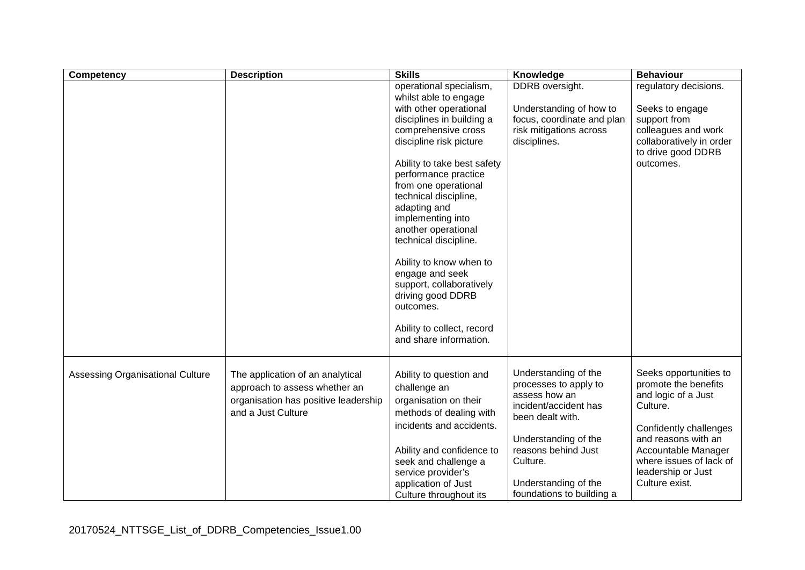| Competency                       | <b>Description</b>                                                                                                              | <b>Skills</b>                                                                                                                                                                                                                                                                                                                                                                                                                                                                                                              | Knowledge                                                                                                                                                                                                                   | <b>Behaviour</b>                                                                                                                                                                                                             |
|----------------------------------|---------------------------------------------------------------------------------------------------------------------------------|----------------------------------------------------------------------------------------------------------------------------------------------------------------------------------------------------------------------------------------------------------------------------------------------------------------------------------------------------------------------------------------------------------------------------------------------------------------------------------------------------------------------------|-----------------------------------------------------------------------------------------------------------------------------------------------------------------------------------------------------------------------------|------------------------------------------------------------------------------------------------------------------------------------------------------------------------------------------------------------------------------|
|                                  |                                                                                                                                 | operational specialism,<br>whilst able to engage<br>with other operational<br>disciplines in building a<br>comprehensive cross<br>discipline risk picture<br>Ability to take best safety<br>performance practice<br>from one operational<br>technical discipline,<br>adapting and<br>implementing into<br>another operational<br>technical discipline.<br>Ability to know when to<br>engage and seek<br>support, collaboratively<br>driving good DDRB<br>outcomes.<br>Ability to collect, record<br>and share information. | <b>DDRB</b> oversight.<br>Understanding of how to<br>focus, coordinate and plan<br>risk mitigations across<br>disciplines.                                                                                                  | regulatory decisions.<br>Seeks to engage<br>support from<br>colleagues and work<br>collaboratively in order<br>to drive good DDRB<br>outcomes.                                                                               |
| Assessing Organisational Culture | The application of an analytical<br>approach to assess whether an<br>organisation has positive leadership<br>and a Just Culture | Ability to question and<br>challenge an<br>organisation on their<br>methods of dealing with<br>incidents and accidents.<br>Ability and confidence to<br>seek and challenge a<br>service provider's<br>application of Just<br>Culture throughout its                                                                                                                                                                                                                                                                        | Understanding of the<br>processes to apply to<br>assess how an<br>incident/accident has<br>been dealt with.<br>Understanding of the<br>reasons behind Just<br>Culture.<br>Understanding of the<br>foundations to building a | Seeks opportunities to<br>promote the benefits<br>and logic of a Just<br>Culture.<br>Confidently challenges<br>and reasons with an<br>Accountable Manager<br>where issues of lack of<br>leadership or Just<br>Culture exist. |